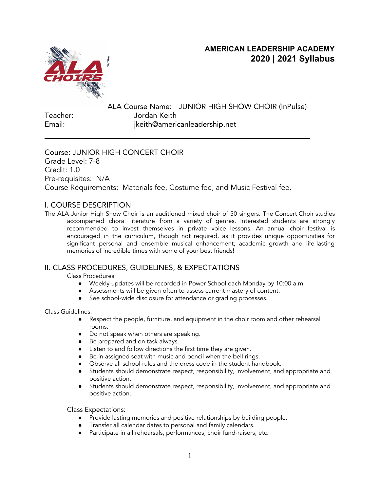## **AMERICAN LEADERSHIP ACADEMY 2020 | 2021 Syllabus**



ALA Course Name: JUNIOR HIGH SHOW CHOIR (InPulse) Teacher: Jordan Keith Email: jkeith@americanleadership.net **\_\_\_\_\_\_\_\_\_\_\_\_\_\_\_\_\_\_\_\_\_\_\_\_\_\_\_\_\_\_\_\_\_\_\_\_\_\_\_\_\_\_\_\_\_\_\_\_\_\_\_\_\_\_\_**

Course: JUNIOR HIGH CONCERT CHOIR Grade Level: 7-8 Credit: 1.0 Pre-requisites: N/A Course Requirements: Materials fee, Costume fee, and Music Festival fee.

#### I. COURSE DESCRIPTION

The ALA Junior High Show Choir is an auditioned mixed choir of 50 singers. The Concert Choir studies accompanied choral literature from a variety of genres. Interested students are strongly recommended to invest themselves in private voice lessons. An annual choir festival is encouraged in the curriculum, though not required, as it provides unique opportunities for significant personal and ensemble musical enhancement, academic growth and life-lasting memories of incredible times with some of your best friends!

## II. CLASS PROCEDURES, GUIDELINES, & EXPECTATIONS

Class Procedures:

- Weekly updates will be recorded in Power School each Monday by 10:00 a.m.
- Assessments will be given often to assess current mastery of content.
- See school-wide disclosure for attendance or grading processes.

Class Guidelines:

- Respect the people, furniture, and equipment in the choir room and other rehearsal rooms.
- Do not speak when others are speaking.
- Be prepared and on task always.
- Listen to and follow directions the first time they are given.
- Be in assigned seat with music and pencil when the bell rings.
- Observe all school rules and the dress code in the student handbook.
- Students should demonstrate respect, responsibility, involvement, and appropriate and positive action.
- Students should demonstrate respect, responsibility, involvement, and appropriate and positive action.

Class Expectations:

- Provide lasting memories and positive relationships by building people.
- Transfer all calendar dates to personal and family calendars.
- Participate in all rehearsals, performances, choir fund-raisers, etc.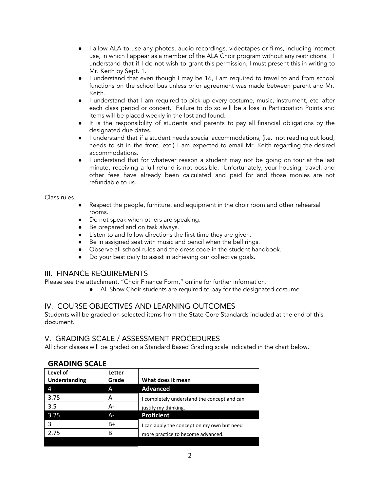- I allow ALA to use any photos, audio recordings, videotapes or films, including internet use, in which I appear as a member of the ALA Choir program without any restrictions. I understand that if I do not wish to grant this permission, I must present this in writing to Mr. Keith by Sept. 1.
- I understand that even though I may be 16, I am required to travel to and from school functions on the school bus unless prior agreement was made between parent and Mr. Keith.
- I understand that I am required to pick up every costume, music, instrument, etc. after each class period or concert. Failure to do so will be a loss in Participation Points and items will be placed weekly in the lost and found.
- It is the responsibility of students and parents to pay all financial obligations by the designated due dates.
- I understand that if a student needs special accommodations, (i.e. not reading out loud, needs to sit in the front, etc.) I am expected to email Mr. Keith regarding the desired accommodations.
- I understand that for whatever reason a student may not be going on tour at the last minute, receiving a full refund is not possible. Unfortunately, your housing, travel, and other fees have already been calculated and paid for and those monies are not refundable to us.

Class rules.

- Respect the people, furniture, and equipment in the choir room and other rehearsal rooms.
- Do not speak when others are speaking.
- Be prepared and on task always.
- Listen to and follow directions the first time they are given.
- Be in assigned seat with music and pencil when the bell rings.
- Observe all school rules and the dress code in the student handbook.
- Do your best daily to assist in achieving our collective goals.

#### III. FINANCE REQUIREMENTS

Please see the attachment, "Choir Finance Form," online for further information.

● All Show Choir students are required to pay for the designated costume.

#### IV. COURSE OBJECTIVES AND LEARNING OUTCOMES

Students will be graded on selected items from the State Core Standards included at the end of this document.

#### V. GRADING SCALE / ASSESSMENT PROCEDURES

All choir classes will be graded on a Standard Based Grading scale indicated in the chart below.

#### **GRADING SCALE**

| Letter<br>Grade | What does it mean                           |
|-----------------|---------------------------------------------|
| A               | <b>Advanced</b>                             |
| А               | I completely understand the concept and can |
| А-              | justify my thinking.                        |
| A-              | <b>Proficient</b>                           |
| B+              | I can apply the concept on my own but need  |
| В               | more practice to become advanced.           |
|                 |                                             |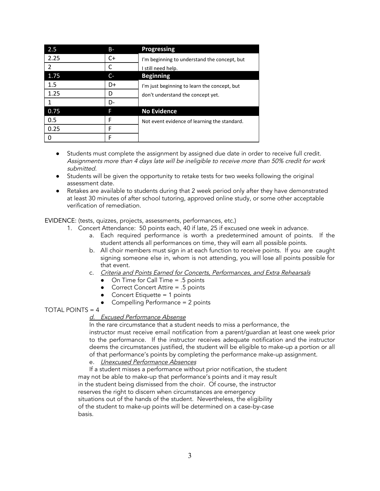| 2.5  | <b>B</b> - | Progressing                                  |
|------|------------|----------------------------------------------|
| 2.25 | $C+$       | I'm beginning to understand the concept, but |
| 2    |            | I still need help.                           |
| 1.75 | C-         | <b>Beginning</b>                             |
| 1.5  | D+         | I'm just beginning to learn the concept, but |
| 1.25 | D          | don't understand the concept yet.            |
|      | D-         |                                              |
| 0.75 | F          | <b>No Evidence</b>                           |
| 0.5  | F          | Not event evidence of learning the standard. |
| 0.25 | F          |                                              |
|      | F          |                                              |

- Students must complete the assignment by assigned due date in order to receive full credit. Assignments more than 4 days late will be ineligible to receive more than 50% credit for work submitted.
- Students will be given the opportunity to retake tests for two weeks following the original assessment date.
- Retakes are available to students during that 2 week period only after they have demonstrated at least 30 minutes of after school tutoring, approved online study, or some other acceptable verification of remediation.

EVIDENCE: (tests, quizzes, projects, assessments, performances, etc.)

- 1. Concert Attendance: 50 points each, 40 if late, 25 if excused one week in advance.
	- a. Each required performance is worth a predetermined amount of points. If the student attends all performances on time, they will earn all possible points.
	- b. All choir members must sign in at each function to receive points. If you are caught signing someone else in, whom is not attending, you will lose all points possible for that event.
	- c. Criteria and Points Earned for Concerts, Performances, and Extra Rehearsals
		- $\bullet$  On Time for Call Time = .5 points
		- Correct Concert Attire  $= .5$  points
		- Concert Etiquette = 1 points
		- Compelling Performance = 2 points

#### TOTAL POINTS  $= 4$

#### d. Excused Performance Absense

In the rare circumstance that a student needs to miss a performance, the instructor must receive email notification from a parent/guardian at least one week prior to the performance. If the instructor receives adequate notification and the instructor deems the circumstances justified, the student will be eligible to make-up a portion or all of that performance's points by completing the performance make-up assignment.

e. Unexcused Performance Absences

If a student misses a performance without prior notification, the student may not be able to make-up that performance's points and it may result in the student being dismissed from the choir. Of course, the instructor reserves the right to discern when circumstances are emergency situations out of the hands of the student. Nevertheless, the eligibility of the student to make-up points will be determined on a case-by-case basis.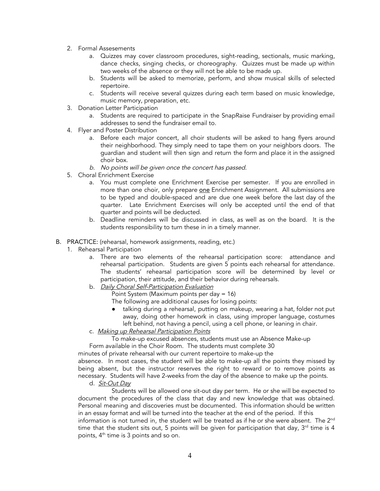- 2. Formal Assesements
	- a. Quizzes may cover classroom procedures, sight-reading, sectionals, music marking, dance checks, singing checks, or choreography. Quizzes must be made up within two weeks of the absence or they will not be able to be made up.
	- b. Students will be asked to memorize, perform, and show musical skills of selected repertoire.
	- c. Students will receive several quizzes during each term based on music knowledge, music memory, preparation, etc.
- 3. Donation Letter Participation
	- a. Students are required to participate in the SnapRaise Fundraiser by providing email addresses to send the fundraiser email to.
- 4. Flyer and Poster Distribution
	- a. Before each major concert, all choir students will be asked to hang flyers around their neighborhood. They simply need to tape them on your neighbors doors. The guardian and student will then sign and return the form and place it in the assigned choir box.
	- b. No points will be <sup>g</sup>iven once the concert has passed.
- 5. Choral Enrichment Exercise
	- a. You must complete one Enrichment Exercise per semester. If you are enrolled in more than one choir, only prepare one Enrichment Assignment. All submissions are to be typed and double-spaced and are due one week before the last day of the quarter. Late Enrichment Exercises will only be accepted until the end of that quarter and points will be deducted.
	- b. Deadline reminders will be discussed in class, as well as on the board. It is the students responsibility to turn these in in a timely manner.
- B. PRACTICE: (rehearsal, homework assignments, reading, etc.)
	- 1. Rehearsal Participation
		- a. There are two elements of the rehearsal participation score: attendance and rehearsal participation. Students are given 5 points each rehearsal for attendance. The students' rehearsal participation score will be determined by level or participation, their attitude, and their behavior during rehearsals.
		- b. Daily Choral Self-Participation Evaluation
			- Point System (Maximum points per day = 16)

The following are additional causes for losing points:

- talking during a rehearsal, putting on makeup, wearing a hat, folder not put away, doing other homework in class, using improper language, costumes left behind, not having a pencil, using a cell phone, or leaning in chair.
- c. Making up Rehearsal Participation Points

To make-up excused absences, students must use an Absence Make-up Form available in the Choir Room. The students must complete 30

minutes of private rehearsal with our current repertoire to make-up the

absence. In most cases, the student will be able to make-up all the points they missed by being absent, but the instructor reserves the right to reward or to remove points as necessary. Students will have 2-weeks from the day of the absence to make up the points.

d. Sit-Out Day

Students will be allowed one sit-out day per term. He or she will be expected to document the procedures of the class that day and new knowledge that was obtained. Personal meaning and discoveries must be documented. This information should be written in an essay format and will be turned into the teacher at the end of the period. If this information is not turned in, the student will be treated as if he or she were absent. The  $2^{\mathsf{nd}}$ time that the student sits out, 5 points will be given for participation that day,  $3<sup>rd</sup>$  time is 4 points, 4<sup>th</sup> time is 3 points and so on.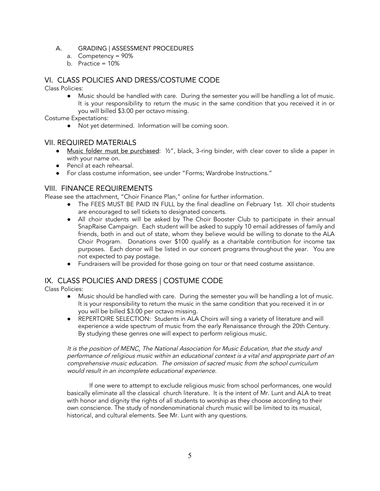#### A. GRADING | ASSESSMENT PROCEDURES

- a. Competency = 90%
- b. Practice = 10%

#### VI. CLASS POLICIES AND DRESS/COSTUME CODE

Class Policies:

● Music should be handled with care. During the semester you will be handling a lot of music. It is your responsibility to return the music in the same condition that you received it in or you will billed \$3.00 per octavo missing.

Costume Expectations:

● Not yet determined. Information will be coming soon.

#### VII. REQUIRED MATERIALS

- Music folder must be purchased: ½", black, 3-ring binder, with clear cover to slide a paper in with your name on.
- Pencil at each rehearsal.
- For class costume information, see under "Forms; Wardrobe Instructions."

#### VIII. FINANCE REQUIREMENTS

Please see the attachment, "Choir Finance Plan," online for further information.

- The FEES MUST BE PAID IN FULL by the final deadline on February 1st. Xll choir students are encouraged to sell tickets to designated concerts.
- All choir students will be asked by The Choir Booster Club to participate in their annual SnapRaise Campaign. Each student will be asked to supply 10 email addresses of family and friends, both in and out of state, whom they believe would be willing to donate to the ALA Choir Program. Donations over \$100 qualify as a charitable contribution for income tax purposes. Each donor will be listed in our concert programs throughout the year. You are not expected to pay postage.
- Fundraisers will be provided for those going on tour or that need costume assistance.

#### IX. CLASS POLICIES AND DRESS | COSTUME CODE

Class Policies:

- Music should be handled with care. During the semester you will be handling a lot of music. It is your responsibility to return the music in the same condition that you received it in or you will be billed \$3.00 per octavo missing.
- REPERTOIRE SELECTION: Students in ALA Choirs will sing a variety of literature and will experience a wide spectrum of music from the early Renaissance through the 20th Century. By studying these genres one will expect to perform religious music.

It is the position of MENC, The National Association for Music Education, that the study and performance of religious music within an educational context is <sup>a</sup> vital and appropriate part of an comprehensive music education. The omission of sacred music from the school curriculum would result in an incomplete educational experience.

If one were to attempt to exclude religious music from school performances, one would basically eliminate all the classical church literature. It is the intent of Mr. Lunt and ALA to treat with honor and dignity the rights of all students to worship as they choose according to their own conscience. The study of nondenominational church music will be limited to its musical, historical, and cultural elements. See Mr. Lunt with any questions.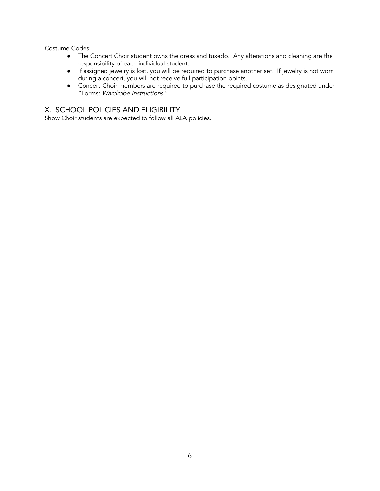Costume Codes:

- The Concert Choir student owns the dress and tuxedo. Any alterations and cleaning are the responsibility of each individual student.
- If assigned jewelry is lost, you will be required to purchase another set. If jewelry is not worn during a concert, you will not receive full participation points.
- Concert Choir members are required to purchase the required costume as designated under "Forms: Wardrobe Instructions."

### X. SCHOOL POLICIES AND ELIGIBILITY

Show Choir students are expected to follow all ALA policies.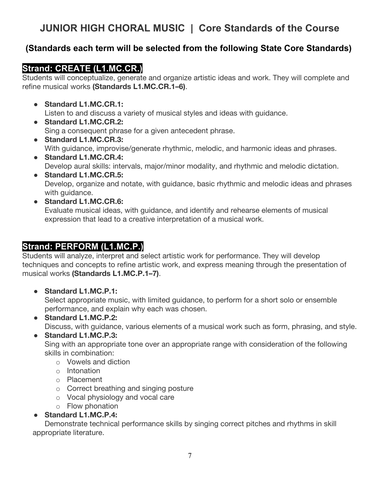# **JUNIOR HIGH CHORAL MUSIC | Core Standards of the Course**

# **(Standards each term will be selected from the following State Core Standards).**

## **Strand: CREATE (L1.MC.CR.)**

Students will conceptualize, generate and organize artistic ideas and work. They will complete and refine musical works **(Standards L1.MC.CR.1–6)**.

- **Standard L1.MC.CR.1:**  Listen to and discuss a variety of musical styles and ideas with guidance.
- **Standard L1.MC.CR.2:**  Sing a consequent phrase for a given antecedent phrase.
- **Standard L1.MC.CR.3:**  With guidance, improvise/generate rhythmic, melodic, and harmonic ideas and phrases.
- **Standard L1.MC.CR.4:**  Develop aural skills: intervals, major/minor modality, and rhythmic and melodic dictation.
- **Standard L1.MC.CR.5:**  Develop, organize and notate, with guidance, basic rhythmic and melodic ideas and phrases with quidance.
- **Standard L1.MC.CR.6:**  Evaluate musical ideas, with guidance, and identify and rehearse elements of musical expression that lead to a creative interpretation of a musical work.

# **Strand: PERFORM (L1.MC.P.)**

Students will analyze, interpret and select artistic work for performance. They will develop techniques and concepts to refine artistic work, and express meaning through the presentation of musical works **(Standards L1.MC.P.1–7)**.

● **Standard L1.MC.P.1:** 

Select appropriate music, with limited guidance, to perform for a short solo or ensemble performance, and explain why each was chosen.

● **Standard L1.MC.P.2:** 

Discuss, with guidance, various elements of a musical work such as form, phrasing, and style.

## ● **Standard L1.MC.P.3:**

Sing with an appropriate tone over an appropriate range with consideration of the following skills in combination:

- o Vowels and diction
- o Intonation
- o Placement
- o Correct breathing and singing posture
- o Vocal physiology and vocal care
- o Flow phonation
- **Standard L1.MC.P.4:**

Demonstrate technical performance skills by singing correct pitches and rhythms in skill appropriate literature.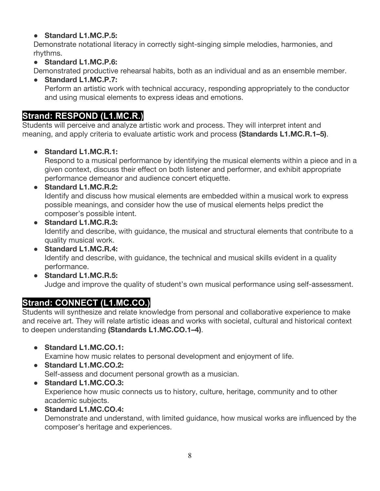## ● **Standard L1.MC.P.5:**

Demonstrate notational literacy in correctly sight-singing simple melodies, harmonies, and rhythms.

● **Standard L1.MC.P.6:** 

Demonstrated productive rehearsal habits, both as an individual and as an ensemble member.

● **Standard L1.MC.P.7:**  Perform an artistic work with technical accuracy, responding appropriately to the conductor and using musical elements to express ideas and emotions.

# **Strand: RESPOND (L1.MC.R.)**

Students will perceive and analyze artistic work and process. They will interpret intent and meaning, and apply criteria to evaluate artistic work and process **(Standards L1.MC.R.1–5)**.

## ● **Standard L1.MC.R.1:**

Respond to a musical performance by identifying the musical elements within a piece and in a given context, discuss their effect on both listener and performer, and exhibit appropriate performance demeanor and audience concert etiquette.

### ● **Standard L1.MC.R.2:**

Identify and discuss how musical elements are embedded within a musical work to express possible meanings, and consider how the use of musical elements helps predict the composer's possible intent.

- **Standard L1.MC.R.3:**  Identify and describe, with guidance, the musical and structural elements that contribute to a quality musical work.
- **Standard L1.MC.R.4:**  Identify and describe, with guidance, the technical and musical skills evident in a quality performance.
- **Standard L1.MC.R.5:**  Judge and improve the quality of student's own musical performance using self-assessment.

# **Strand: CONNECT (L1.MC.CO.)**

Students will synthesize and relate knowledge from personal and collaborative experience to make and receive art. They will relate artistic ideas and works with societal, cultural and historical context to deepen understanding **(Standards L1.MC.CO.1–4)**.

● **Standard L1.MC.CO.1:** 

Examine how music relates to personal development and enjoyment of life.

- **Standard L1.MC.CO.2:**  Self-assess and document personal growth as a musician.
- **Standard L1.MC.CO.3:**  Experience how music connects us to history, culture, heritage, community and to other academic subjects.
- **Standard L1.MC.CO.4:**

Demonstrate and understand, with limited guidance, how musical works are influenced by the composer's heritage and experiences.